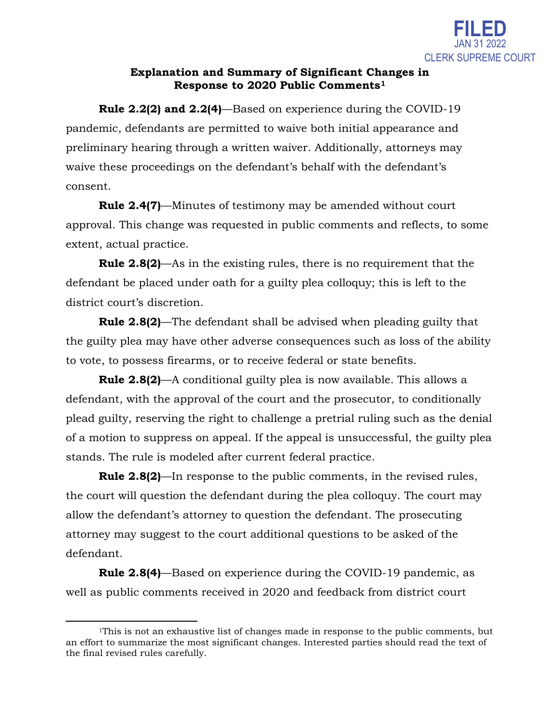

## **Explanation and Summary of Significant Changes in Response to 2020 Public Comments[1](#page-0-0)**

**Rule 2.2(2) and 2.2(4)**—Based on experience during the COVID-19 pandemic, defendants are permitted to waive both initial appearance and preliminary hearing through a written waiver. Additionally, attorneys may waive these proceedings on the defendant's behalf with the defendant's consent.

**Rule 2.4(7)**—Minutes of testimony may be amended without court approval. This change was requested in public comments and reflects, to some extent, actual practice.

**Rule 2.8(2)**—As in the existing rules, there is no requirement that the defendant be placed under oath for a guilty plea colloquy; this is left to the district court's discretion.

**Rule 2.8(2)**—The defendant shall be advised when pleading guilty that the guilty plea may have other adverse consequences such as loss of the ability to vote, to possess firearms, or to receive federal or state benefits.

**Rule 2.8(2)**—A conditional guilty plea is now available. This allows a defendant, with the approval of the court and the prosecutor, to conditionally plead guilty, reserving the right to challenge a pretrial ruling such as the denial of a motion to suppress on appeal. If the appeal is unsuccessful, the guilty plea stands. The rule is modeled after current federal practice.

**Rule 2.8(2)**—In response to the public comments, in the revised rules, the court will question the defendant during the plea colloquy. The court may allow the defendant's attorney to question the defendant. The prosecuting attorney may suggest to the court additional questions to be asked of the defendant.

**Rule 2.8(4)**—Based on experience during the COVID-19 pandemic, as well as public comments received in 2020 and feedback from district court

l

<span id="page-0-0"></span><sup>1</sup>This is not an exhaustive list of changes made in response to the public comments, but an effort to summarize the most significant changes. Interested parties should read the text of the final revised rules carefully.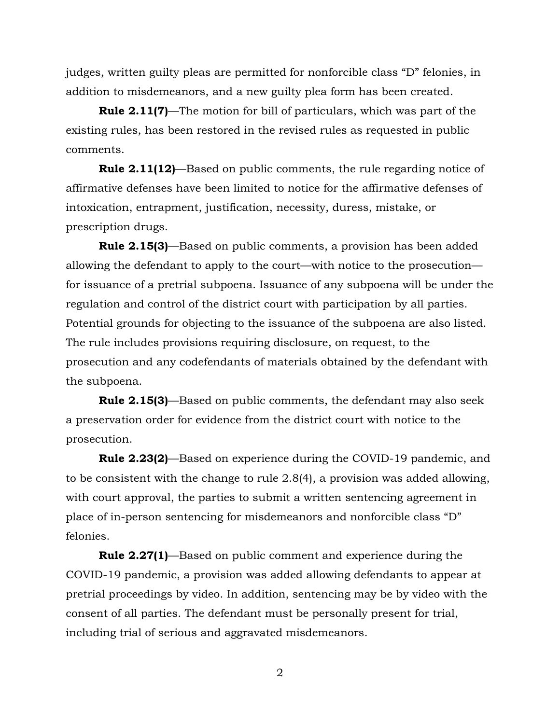judges, written guilty pleas are permitted for nonforcible class "D" felonies, in addition to misdemeanors, and a new guilty plea form has been created.

**Rule 2.11(7)**—The motion for bill of particulars, which was part of the existing rules, has been restored in the revised rules as requested in public comments.

**Rule 2.11(12)**—Based on public comments, the rule regarding notice of affirmative defenses have been limited to notice for the affirmative defenses of intoxication, entrapment, justification, necessity, duress, mistake, or prescription drugs.

**Rule 2.15(3)**—Based on public comments, a provision has been added allowing the defendant to apply to the court—with notice to the prosecution for issuance of a pretrial subpoena. Issuance of any subpoena will be under the regulation and control of the district court with participation by all parties. Potential grounds for objecting to the issuance of the subpoena are also listed. The rule includes provisions requiring disclosure, on request, to the prosecution and any codefendants of materials obtained by the defendant with the subpoena.

**Rule 2.15(3)**—Based on public comments, the defendant may also seek a preservation order for evidence from the district court with notice to the prosecution.

**Rule 2.23(2)**—Based on experience during the COVID-19 pandemic, and to be consistent with the change to rule 2.8(4), a provision was added allowing, with court approval, the parties to submit a written sentencing agreement in place of in-person sentencing for misdemeanors and nonforcible class "D" felonies.

**Rule 2.27(1)**—Based on public comment and experience during the COVID-19 pandemic, a provision was added allowing defendants to appear at pretrial proceedings by video. In addition, sentencing may be by video with the consent of all parties. The defendant must be personally present for trial, including trial of serious and aggravated misdemeanors.

2